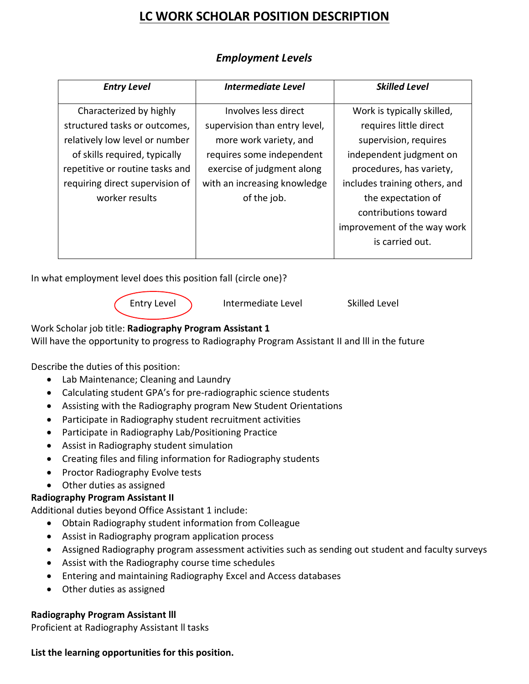# **LC WORK SCHOLAR POSITION DESCRIPTION**

| <b>Entry Level</b>              | Intermediate Level            | <b>Skilled Level</b>          |
|---------------------------------|-------------------------------|-------------------------------|
| Characterized by highly         | Involves less direct          | Work is typically skilled,    |
| structured tasks or outcomes,   | supervision than entry level, | requires little direct        |
| relatively low level or number  | more work variety, and        | supervision, requires         |
| of skills required, typically   | requires some independent     | independent judgment on       |
| repetitive or routine tasks and | exercise of judgment along    | procedures, has variety,      |
| requiring direct supervision of | with an increasing knowledge  | includes training others, and |
| worker results                  | of the job.                   | the expectation of            |
|                                 |                               | contributions toward          |
|                                 |                               | improvement of the way work   |
|                                 |                               | is carried out.               |

## *Employment Levels*

In what employment level does this position fall (circle one)?

Entry Level 1. Intermediate Level Skilled Level

Work Scholar job title: **Radiography Program Assistant 1**  Will have the opportunity to progress to Radiography Program Assistant II and lll in the future

Describe the duties of this position:

- Lab Maintenance; Cleaning and Laundry
- Calculating student GPA's for pre-radiographic science students
- Assisting with the Radiography program New Student Orientations
- Participate in Radiography student recruitment activities
- Participate in Radiography Lab/Positioning Practice
- Assist in Radiography student simulation
- Creating files and filing information for Radiography students
- Proctor Radiography Evolve tests
- Other duties as assigned

### **Radiography Program Assistant II**

Additional duties beyond Office Assistant 1 include:

- Obtain Radiography student information from Colleague
- Assist in Radiography program application process
- Assigned Radiography program assessment activities such as sending out student and faculty surveys
- Assist with the Radiography course time schedules
- Entering and maintaining Radiography Excel and Access databases
- Other duties as assigned

### **Radiography Program Assistant lll**

Proficient at Radiography Assistant ll tasks

#### **List the learning opportunities for this position.**